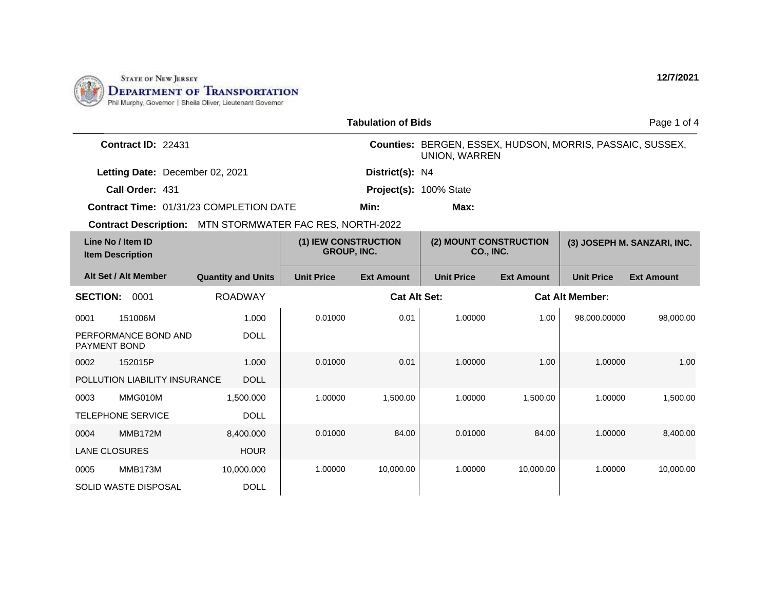

|                                                          | <b>Tabulation of Bids</b> |                                            |                   |                                                                                   | Page 1 of 4       |                             |                   |
|----------------------------------------------------------|---------------------------|--------------------------------------------|-------------------|-----------------------------------------------------------------------------------|-------------------|-----------------------------|-------------------|
| Contract ID: 22431                                       |                           |                                            |                   | Counties: BERGEN, ESSEX, HUDSON, MORRIS, PASSAIC, SUSSEX,<br><b>UNION, WARREN</b> |                   |                             |                   |
| Letting Date: December 02, 2021                          |                           |                                            | District(s): N4   |                                                                                   |                   |                             |                   |
| Call Order: 431                                          |                           |                                            |                   | Project(s): 100% State                                                            |                   |                             |                   |
| <b>Contract Time: 01/31/23 COMPLETION DATE</b>           |                           |                                            | Min:              | Max:                                                                              |                   |                             |                   |
| Contract Description: MTN STORMWATER FAC RES, NORTH-2022 |                           |                                            |                   |                                                                                   |                   |                             |                   |
| Line No / Item ID<br><b>Item Description</b>             |                           | (1) IEW CONSTRUCTION<br><b>GROUP, INC.</b> |                   | (2) MOUNT CONSTRUCTION<br>CO., INC.                                               |                   | (3) JOSEPH M. SANZARI, INC. |                   |
| Alt Set / Alt Member                                     | <b>Quantity and Units</b> | <b>Unit Price</b>                          | <b>Ext Amount</b> | <b>Unit Price</b>                                                                 | <b>Ext Amount</b> | <b>Unit Price</b>           | <b>Ext Amount</b> |
| <b>SECTION:</b><br>0001                                  | <b>ROADWAY</b>            |                                            |                   | <b>Cat Alt Set:</b>                                                               |                   | <b>Cat Alt Member:</b>      |                   |
| 0001<br>151006M                                          | 1.000                     | 0.01000                                    | 0.01              | 1.00000                                                                           | 1.00              | 98,000.00000                | 98,000.00         |
| PERFORMANCE BOND AND<br><b>PAYMENT BOND</b>              | <b>DOLL</b>               |                                            |                   |                                                                                   |                   |                             |                   |
| 152015P<br>0002                                          | 1.000                     | 0.01000                                    | 0.01              | 1.00000                                                                           | 1.00              | 1.00000                     | 1.00              |
| POLLUTION LIABILITY INSURANCE                            | <b>DOLL</b>               |                                            |                   |                                                                                   |                   |                             |                   |
| MMG010M<br>0003                                          | 1.500.000                 | 1.00000                                    | 1,500.00          | 1.00000                                                                           | 1.500.00          | 1.00000                     | 1,500.00          |
| <b>TELEPHONE SERVICE</b>                                 | <b>DOLL</b>               |                                            |                   |                                                                                   |                   |                             |                   |
| <b>MMB172M</b><br>0004                                   | 8,400.000                 | 0.01000                                    | 84.00             | 0.01000                                                                           | 84.00             | 1.00000                     | 8,400.00          |
| <b>LANE CLOSURES</b>                                     | <b>HOUR</b>               |                                            |                   |                                                                                   |                   |                             |                   |
| MMB173M<br>0005                                          | 10,000.000                | 1.00000                                    | 10,000.00         | 1.00000                                                                           | 10,000.00         | 1.00000                     | 10,000.00         |
| SOLID WASTE DISPOSAL                                     | <b>DOLL</b>               |                                            |                   |                                                                                   |                   |                             |                   |

**12/7/2021**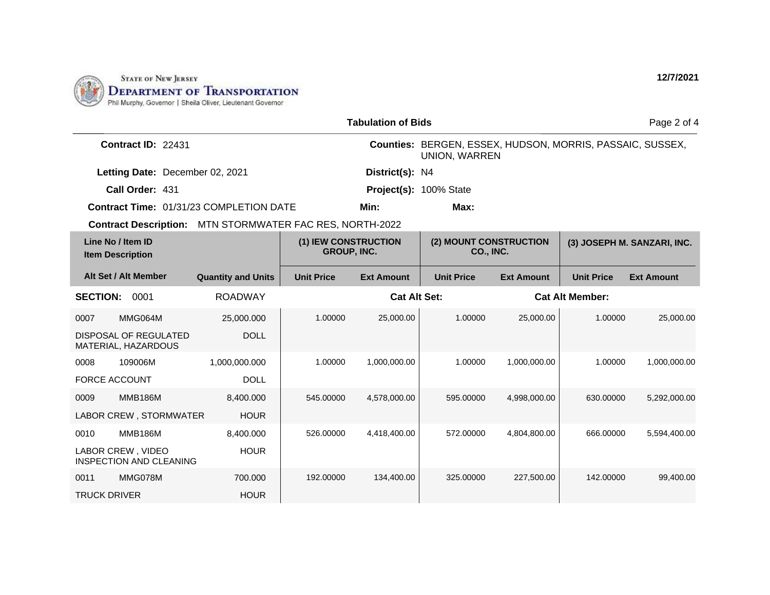

|                                                          |                           |                                            | <b>Tabulation of Bids</b> |                                                                                   | Page 2 of 4       |                             |                   |
|----------------------------------------------------------|---------------------------|--------------------------------------------|---------------------------|-----------------------------------------------------------------------------------|-------------------|-----------------------------|-------------------|
| Contract ID: 22431                                       |                           |                                            |                           | Counties: BERGEN, ESSEX, HUDSON, MORRIS, PASSAIC, SUSSEX,<br><b>UNION, WARREN</b> |                   |                             |                   |
| Letting Date: December 02, 2021                          |                           |                                            | District(s): N4           |                                                                                   |                   |                             |                   |
| Call Order: 431                                          |                           |                                            |                           | Project(s): 100% State                                                            |                   |                             |                   |
| Contract Time: 01/31/23 COMPLETION DATE                  |                           |                                            | Min:                      | Max:                                                                              |                   |                             |                   |
| Contract Description: MTN STORMWATER FAC RES, NORTH-2022 |                           |                                            |                           |                                                                                   |                   |                             |                   |
| Line No / Item ID<br><b>Item Description</b>             |                           | (1) IEW CONSTRUCTION<br><b>GROUP, INC.</b> |                           | (2) MOUNT CONSTRUCTION<br>CO., INC.                                               |                   | (3) JOSEPH M. SANZARI, INC. |                   |
| Alt Set / Alt Member                                     | <b>Quantity and Units</b> | <b>Unit Price</b>                          | <b>Ext Amount</b>         | <b>Unit Price</b>                                                                 | <b>Ext Amount</b> | <b>Unit Price</b>           | <b>Ext Amount</b> |
| <b>SECTION:</b><br>0001                                  | <b>ROADWAY</b>            |                                            | <b>Cat Alt Set:</b>       |                                                                                   |                   | <b>Cat Alt Member:</b>      |                   |
| MMG064M<br>0007                                          | 25,000.000                | 1.00000                                    | 25,000.00                 | 1.00000                                                                           | 25,000.00         | 1.00000                     | 25,000.00         |
| DISPOSAL OF REGULATED<br>MATERIAL, HAZARDOUS             | <b>DOLL</b>               |                                            |                           |                                                                                   |                   |                             |                   |
| 109006M<br>0008                                          | 1,000,000.000             | 1.00000                                    | 1,000,000.00              | 1.00000                                                                           | 1,000,000.00      | 1.00000                     | 1,000,000.00      |
| <b>FORCE ACCOUNT</b>                                     | <b>DOLL</b>               |                                            |                           |                                                                                   |                   |                             |                   |
| <b>MMB186M</b><br>0009                                   | 8,400.000                 | 545.00000                                  | 4,578,000.00              | 595.00000                                                                         | 4,998,000.00      | 630.00000                   | 5,292,000.00      |
| LABOR CREW, STORMWATER                                   | <b>HOUR</b>               |                                            |                           |                                                                                   |                   |                             |                   |
| <b>MMB186M</b><br>0010                                   | 8,400.000                 | 526.00000                                  | 4,418,400.00              | 572.00000                                                                         | 4,804,800.00      | 666.00000                   | 5,594,400.00      |
| LABOR CREW, VIDEO<br><b>INSPECTION AND CLEANING</b>      | <b>HOUR</b>               |                                            |                           |                                                                                   |                   |                             |                   |
| MMG078M<br>0011                                          | 700.000                   | 192.00000                                  | 134,400.00                | 325,00000                                                                         | 227,500.00        | 142.00000                   | 99,400.00         |
| <b>TRUCK DRIVER</b>                                      | <b>HOUR</b>               |                                            |                           |                                                                                   |                   |                             |                   |

**12/7/2021**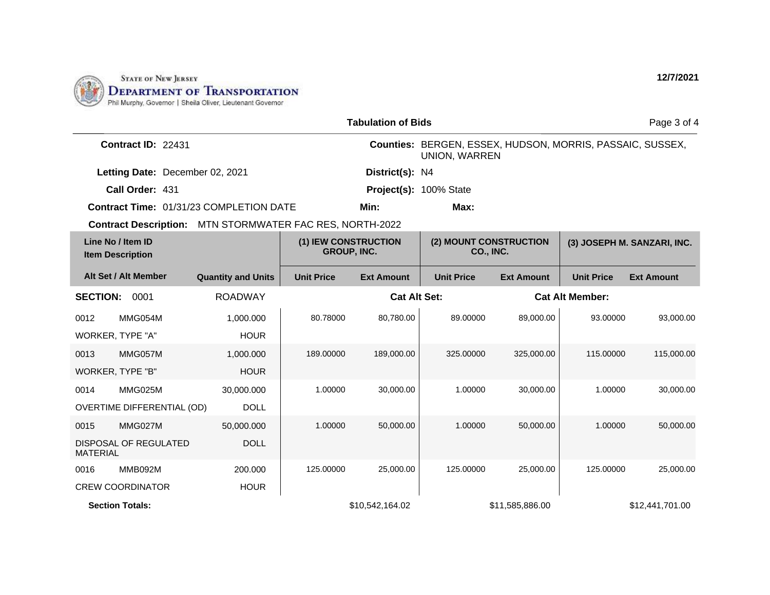

| <b>Tabulation of Bids</b>                    |                                                                    |                                                |                   |                                     |                                                                                   |                             | Page 3 of 4            |                   |
|----------------------------------------------|--------------------------------------------------------------------|------------------------------------------------|-------------------|-------------------------------------|-----------------------------------------------------------------------------------|-----------------------------|------------------------|-------------------|
|                                              | Contract ID: 22431                                                 |                                                |                   |                                     | Counties: BERGEN, ESSEX, HUDSON, MORRIS, PASSAIC, SUSSEX,<br><b>UNION, WARREN</b> |                             |                        |                   |
|                                              | Letting Date: December 02, 2021                                    |                                                |                   | District(s): N4                     |                                                                                   |                             |                        |                   |
|                                              | Call Order: 431                                                    |                                                |                   |                                     | Project(s): 100% State                                                            |                             |                        |                   |
|                                              |                                                                    | <b>Contract Time: 01/31/23 COMPLETION DATE</b> |                   | Min:                                | Max:                                                                              |                             |                        |                   |
|                                              | MTN STORMWATER FAC RES, NORTH-2022<br><b>Contract Description:</b> |                                                |                   |                                     |                                                                                   |                             |                        |                   |
| Line No / Item ID<br><b>Item Description</b> |                                                                    | (1) IEW CONSTRUCTION<br><b>GROUP, INC.</b>     |                   | (2) MOUNT CONSTRUCTION<br>CO., INC. |                                                                                   | (3) JOSEPH M. SANZARI, INC. |                        |                   |
| Alt Set / Alt Member                         |                                                                    | <b>Quantity and Units</b>                      | <b>Unit Price</b> | <b>Ext Amount</b>                   | <b>Unit Price</b>                                                                 | <b>Ext Amount</b>           | <b>Unit Price</b>      | <b>Ext Amount</b> |
| <b>SECTION:</b>                              | 0001                                                               | <b>ROADWAY</b>                                 |                   | <b>Cat Alt Set:</b>                 |                                                                                   |                             | <b>Cat Alt Member:</b> |                   |
| 0012                                         | MMG054M                                                            | 1,000.000                                      | 80.78000          | 80,780.00                           | 89.00000                                                                          | 89,000.00                   | 93.00000               | 93,000.00         |
| <b>WORKER, TYPE "A"</b>                      |                                                                    | <b>HOUR</b>                                    |                   |                                     |                                                                                   |                             |                        |                   |
| 0013                                         | MMG057M                                                            | 1,000.000                                      | 189.00000         | 189,000.00                          | 325.00000                                                                         | 325,000.00                  | 115.00000              | 115,000.00        |
| WORKER, TYPE "B"                             |                                                                    | <b>HOUR</b>                                    |                   |                                     |                                                                                   |                             |                        |                   |
| 0014                                         | MMG025M                                                            | 30,000.000                                     | 1.00000           | 30,000.00                           | 1.00000                                                                           | 30,000.00                   | 1.00000                | 30,000.00         |
|                                              | OVERTIME DIFFERENTIAL (OD)                                         | <b>DOLL</b>                                    |                   |                                     |                                                                                   |                             |                        |                   |
| 0015                                         | MMG027M                                                            | 50,000.000                                     | 1.00000           | 50,000.00                           | 1.00000                                                                           | 50,000.00                   | 1.00000                | 50,000.00         |
| <b>MATERIAL</b>                              | DISPOSAL OF REGULATED                                              | <b>DOLL</b>                                    |                   |                                     |                                                                                   |                             |                        |                   |
| 0016                                         | MMB092M                                                            | 200.000                                        | 125.00000         | 25,000.00                           | 125.00000                                                                         | 25,000.00                   | 125.00000              | 25,000.00         |
| <b>CREW COORDINATOR</b>                      |                                                                    | <b>HOUR</b>                                    |                   |                                     |                                                                                   |                             |                        |                   |
| <b>Section Totals:</b>                       |                                                                    |                                                |                   | \$10.542.164.02                     |                                                                                   | \$11.585.886.00             |                        | \$12.441.701.00   |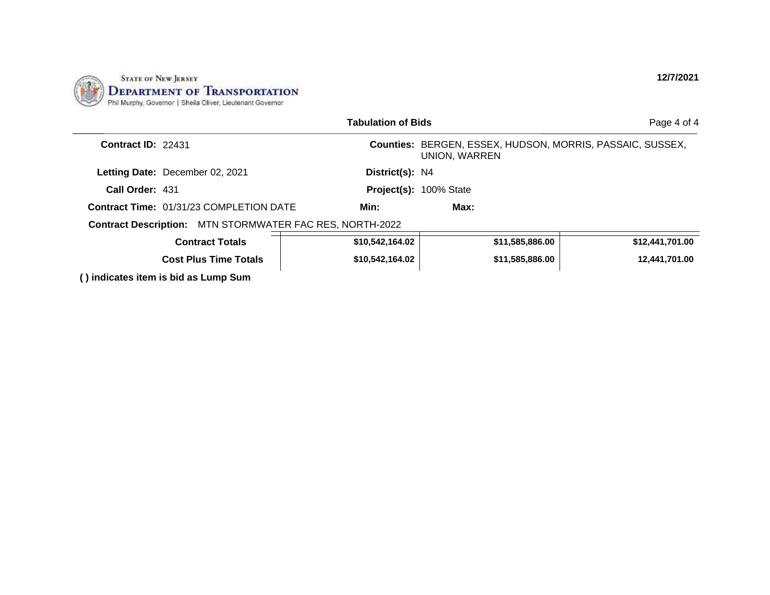

|                 |                                                                 | <b>Tabulation of Bids</b> |                                                                                   | Page 4 of 4     |
|-----------------|-----------------------------------------------------------------|---------------------------|-----------------------------------------------------------------------------------|-----------------|
|                 | Contract ID: 22431                                              |                           | Counties: BERGEN, ESSEX, HUDSON, MORRIS, PASSAIC, SUSSEX,<br><b>UNION, WARREN</b> |                 |
|                 | Letting Date: December 02, 2021                                 | District(s): N4           |                                                                                   |                 |
| Call Order: 431 |                                                                 |                           | Project(s): 100% State                                                            |                 |
|                 | <b>Contract Time: 01/31/23 COMPLETION DATE</b>                  |                           | Max:                                                                              |                 |
|                 | <b>Contract Description:</b> MTN STORMWATER FAC RES, NORTH-2022 |                           |                                                                                   |                 |
|                 | <b>Contract Totals</b>                                          | \$10,542,164.02           | \$11,585,886.00                                                                   | \$12,441,701.00 |
|                 | <b>Cost Plus Time Totals</b>                                    |                           | \$11,585,886.00                                                                   | 12,441,701.00   |
|                 | () indicates item is bid as Lump Sum                            |                           |                                                                                   |                 |

## **12/7/2021**